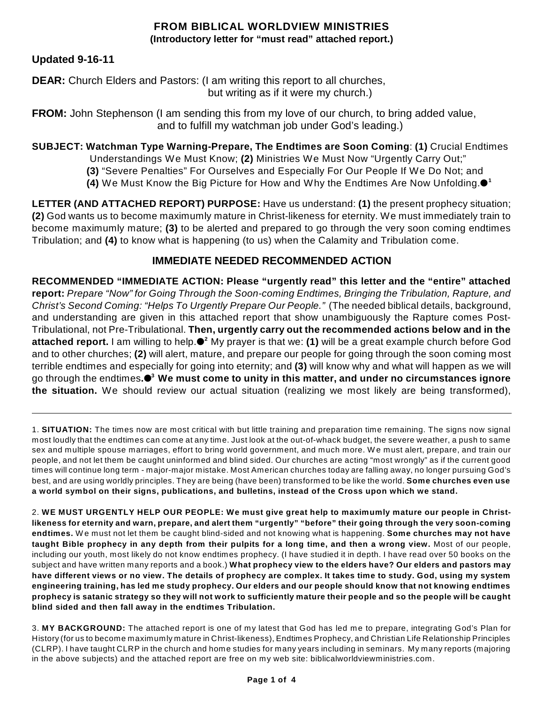## **FROM BIBLICAL WORLDVIEW MINISTRIES (Introductory letter for "must read" attached report.)**

## **Updated 9-16-11**

**DEAR:** Church Elders and Pastors: (I am writing this report to all churches, but writing as if it were my church.)

**FROM:** John Stephenson (I am sending this from my love of our church, to bring added value, and to fulfill my watchman job under God's leading.)

**SUBJECT: Watchman Type Warning-Prepare, The Endtimes are Soon Coming**: **(1)** Crucial Endtimes

Understandings We Must Know; **(2)** Ministries We Must Now "Urgently Carry Out;"

- **(3)** "Severe Penalties" For Ourselves and Especially For Our People If We Do Not; and
- **(4)** We Must Know the Big Picture for How and Why the Endtimes Are Now Unfolding. **1**

**LETTER (AND ATTACHED REPORT) PURPOSE:** Have us understand: **(1)** the present prophecy situation; **(2)** God wants us to become maximumly mature in Christ-likeness for eternity. We must immediately train to become maximumly mature; **(3)** to be alerted and prepared to go through the very soon coming endtimes Tribulation; and **(4)** to know what is happening (to us) when the Calamity and Tribulation come.

## **IMMEDIATE NEEDED RECOMMENDED ACTION**

**RECOMMENDED "IMMEDIATE ACTION: Please "urgently read" this letter and the "entire" attached report:** *Prepare "Now" for Going Through the Soon-coming Endtimes, Bringing the Tribulation, Rapture, and Christ's Second Coming: "Helps To Urgently Prepare Our People."* (The needed biblical details, background, and understanding are given in this attached report that show unambiguously the Rapture comes Post-Tribulational, not Pre-Tribulational. **Then, urgently carry out the recommended actions below and in the attached report.** I am willing to help.●<sup>2</sup> My prayer is that we: (1) will be a great example church before God and to other churches; **(2)** will alert, mature, and prepare our people for going through the soon coming most terrible endtimes and especially for going into eternity; and **(3)** will know why and what will happen as we will go through the endtimes**. We must come to unity in this matter, and under no circumstances ignore 3 the situation.** We should review our actual situation (realizing we most likely are being transformed),

1. **SITUATION:** The times now are most critical with but little training and preparation time remaining. The signs now signal most loudly that the endtimes can come at any time. Just look at the out-of-whack budget, the severe weather, a push to same sex and multiple spouse marriages, effort to bring world government, and much more. W e must alert, prepare, and train our people, and not let them be caught uninformed and blind sided. Our churches are acting "most wrongly" as if the current good times will continue long term - major-major mistake. Most American churches today are falling away, no longer pursuing God's best, and are using worldly principles. They are being (have been) transformed to be like the world. **Some churches even use a world symbol on their signs, publications, and bulletins, instead of the Cross upon which we stand.**

2. WE MUST URGENTLY HELP OUR PEOPLE: We must give great help to maximumly mature our people in Christlikeness for eternity and warn, prepare, and alert them "urgently" "before" their going through the very soon-coming **endtimes.** W e must not let them be caught blind-sided and not knowing what is happening. **Some churches may not have** taught Bible prophecy in any depth from their pulpits for a long time, and then a wrong view. Most of our people, including our youth, most likely do not know endtimes prophecy. (I have studied it in depth. I have read over 50 books on the subject and have written many reports and a book.) **What prophecy view to the elders have? Our elders and pastors may** have different views or no view. The details of prophecy are complex. It takes time to study. God, using my system engineering training, has led me study prophecy. Our elders and our people should know that not knowing endtimes prophecy is satanic strategy so they will not work to sufficiently mature their people and so the people will be caught **blind sided and then fall away in the endtimes Tribulation.**

3. **MY BACKGROUND:** The attached report is one of my latest that God has led me to prepare, integrating God's Plan for History (for us to become maximumly mature in Christ-likeness), Endtimes Prophecy, and Christian Life Relationship Principles (CLRP). I have taught CLRP in the church and home studies for many years including in seminars. My many reports (majoring in the above subjects) and the attached report are free on my web site: biblicalworldviewministries.com.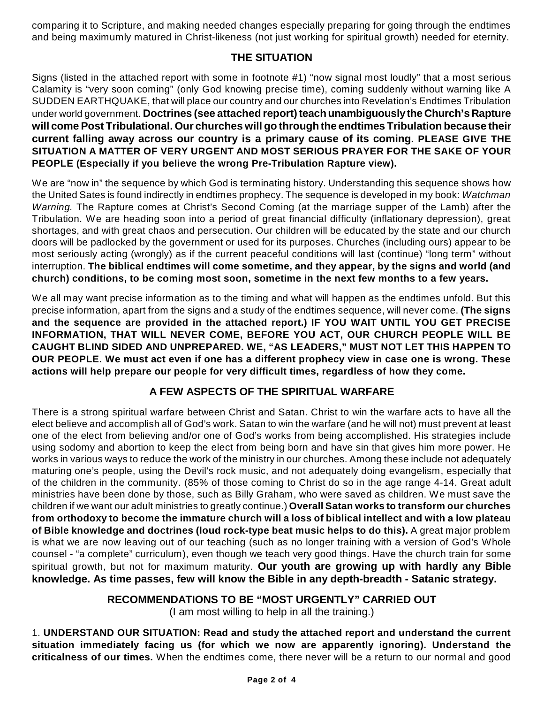comparing it to Scripture, and making needed changes especially preparing for going through the endtimes and being maximumly matured in Christ-likeness (not just working for spiritual growth) needed for eternity.

## **THE SITUATION**

Signs (listed in the attached report with some in footnote #1) "now signal most loudly" that a most serious Calamity is "very soon coming" (only God knowing precise time), coming suddenly without warning like A SUDDEN EARTHQUAKE, that will place our country and our churches into Revelation's Endtimes Tribulation under world government. **Doctrines (see attached report)teachunambiguouslythe Church's Rapture will come Post Tribulational. Our churches will go through the endtimes Tribulation because their current falling away across our country is a primary cause of its coming. PLEASE GIVE THE SITUATION A MATTER OF VERY URGENT AND MOST SERIOUS PRAYER FOR THE SAKE OF YOUR PEOPLE (Especially if you believe the wrong Pre-Tribulation Rapture view).**

We are "now in" the sequence by which God is terminating history. Understanding this sequence shows how the United Sates is found indirectly in endtimes prophecy. The sequence is developed in my book: *Watchman Warning.* The Rapture comes at Christ's Second Coming (at the marriage supper of the Lamb) after the Tribulation. We are heading soon into a period of great financial difficulty (inflationary depression), great shortages, and with great chaos and persecution. Our children will be educated by the state and our church doors will be padlocked by the government or used for its purposes. Churches (including ours) appear to be most seriously acting (wrongly) as if the current peaceful conditions will last (continue) "long term" without interruption. **The biblical endtimes will come sometime, and they appear, by the signs and world (and church) conditions, to be coming most soon, sometime in the next few months to a few years.**

We all may want precise information as to the timing and what will happen as the endtimes unfold. But this precise information, apart from the signs and a study of the endtimes sequence, will never come. **(The signs and the sequence are provided in the attached report.) IF YOU WAIT UNTIL YOU GET PRECISE INFORMATION, THAT WILL NEVER COME, BEFORE YOU ACT, OUR CHURCH PEOPLE WILL BE CAUGHT BLIND SIDED AND UNPREPARED. WE, "AS LEADERS," MUST NOT LET THIS HAPPEN TO OUR PEOPLE. We must act even if one has a different prophecy view in case one is wrong. These actions will help prepare our people for very difficult times, regardless of how they come.**

# **A FEW ASPECTS OF THE SPIRITUAL WARFARE**

There is a strong spiritual warfare between Christ and Satan. Christ to win the warfare acts to have all the elect believe and accomplish all of God's work. Satan to win the warfare (and he will not) must prevent at least one of the elect from believing and/or one of God's works from being accomplished. His strategies include using sodomy and abortion to keep the elect from being born and have sin that gives him more power. He works in various ways to reduce the work of the ministry in our churches. Among these include not adequately maturing one's people, using the Devil's rock music, and not adequately doing evangelism, especially that of the children in the community. (85% of those coming to Christ do so in the age range 4-14. Great adult ministries have been done by those, such as Billy Graham, who were saved as children. We must save the children if we want our adult ministries to greatly continue.) **Overall Satan works to transform our churches from orthodoxy to become the immature church will a loss of biblical intellect and with a low plateau of Bible knowledge and doctrines (loud rock-type beat music helps to do this).** A great major problem is what we are now leaving out of our teaching (such as no longer training with a version of God's Whole counsel - "a complete" curriculum), even though we teach very good things. Have the church train for some spiritual growth, but not for maximum maturity. **Our youth are growing up with hardly any Bible knowledge. As time passes, few will know the Bible in any depth-breadth - Satanic strategy.**

## **RECOMMENDATIONS TO BE "MOST URGENTLY" CARRIED OUT**

(I am most willing to help in all the training.)

1. **UNDERSTAND OUR SITUATION: Read and study the attached report and understand the current situation immediately facing us (for which we now are apparently ignoring). Understand the criticalness of our times.** When the endtimes come, there never will be a return to our normal and good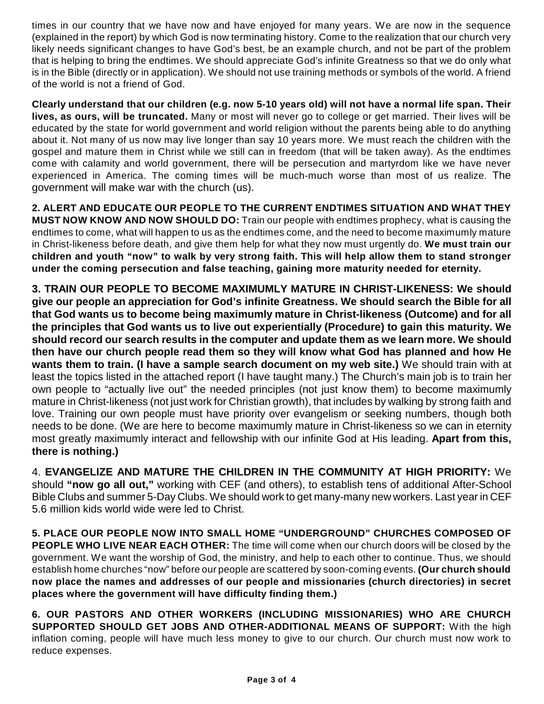times in our country that we have now and have enjoyed for many years. We are now in the sequence (explained in the report) by which God is now terminating history. Come to the realization that our church very likely needs significant changes to have God's best, be an example church, and not be part of the problem that is helping to bring the endtimes. We should appreciate God's infinite Greatness so that we do only what is in the Bible (directly or in application). We should not use training methods or symbols of the world. A friend of the world is not a friend of God.

**Clearly understand that our children (e.g. now 5-10 years old) will not have a normal life span. Their lives, as ours, will be truncated.** Many or most will never go to college or get married. Their lives will be educated by the state for world government and world religion without the parents being able to do anything about it. Not many of us now may live longer than say 10 years more. We must reach the children with the gospel and mature them in Christ while we still can in freedom (that will be taken away). As the endtimes come with calamity and world government, there will be persecution and martyrdom like we have never experienced in America. The coming times will be much-much worse than most of us realize. The government will make war with the church (us).

**2. ALERT AND EDUCATE OUR PEOPLE TO THE CURRENT ENDTIMES SITUATION AND WHAT THEY MUST NOW KNOW AND NOW SHOULD DO:** Train our people with endtimes prophecy, what is causing the endtimes to come, what will happen to us as the endtimes come, and the need to become maximumly mature in Christ-likeness before death, and give them help for what they now must urgently do. **We must train our children and youth "now" to walk by very strong faith. This will help allow them to stand stronger under the coming persecution and false teaching, gaining more maturity needed for eternity.**

**3. TRAIN OUR PEOPLE TO BECOME MAXIMUMLY MATURE IN CHRIST-LIKENESS: We should give our people an appreciation for God's infinite Greatness. We should search the Bible for all that God wants us to become being maximumly mature in Christ-likeness (Outcome) and for all the principles that God wants us to live out experientially (Procedure) to gain this maturity. We should record our search results in the computer and update them as we learn more. We should then have our church people read them so they will know what God has planned and how He wants them to train. (I have a sample search document on my web site.)** We should train with at least the topics listed in the attached report (I have taught many.) The Church's main job is to train her own people to "actually live out" the needed principles (not just know them) to become maximumly mature in Christ-likeness (not just work for Christian growth), that includes by walking by strong faith and love. Training our own people must have priority over evangelism or seeking numbers, though both needs to be done. (We are here to become maximumly mature in Christ-likeness so we can in eternity most greatly maximumly interact and fellowship with our infinite God at His leading. **Apart from this, there is nothing.)**

4. **EVANGELIZE AND MATURE THE CHILDREN IN THE COMMUNITY AT HIGH PRIORITY:** We should **"now go all out,"** working with CEF (and others), to establish tens of additional After-School Bible Clubs and summer 5-Day Clubs. We should work to get many-many new workers. Last year in CEF 5.6 million kids world wide were led to Christ.

**5. PLACE OUR PEOPLE NOW INTO SMALL HOME "UNDERGROUND" CHURCHES COMPOSED OF PEOPLE WHO LIVE NEAR EACH OTHER:** The time will come when our church doors will be closed by the government. We want the worship of God, the ministry, and help to each other to continue. Thus, we should establish home churches "now" before our people are scattered by soon-coming events. **(Our church should now place the names and addresses of our people and missionaries (church directories) in secret places where the government will have difficulty finding them.)**

**6. OUR PASTORS AND OTHER WORKERS (INCLUDING MISSIONARIES) WHO ARE CHURCH SUPPORTED SHOULD GET JOBS AND OTHER-ADDITIONAL MEANS OF SUPPORT:** With the high inflation coming, people will have much less money to give to our church. Our church must now work to reduce expenses.